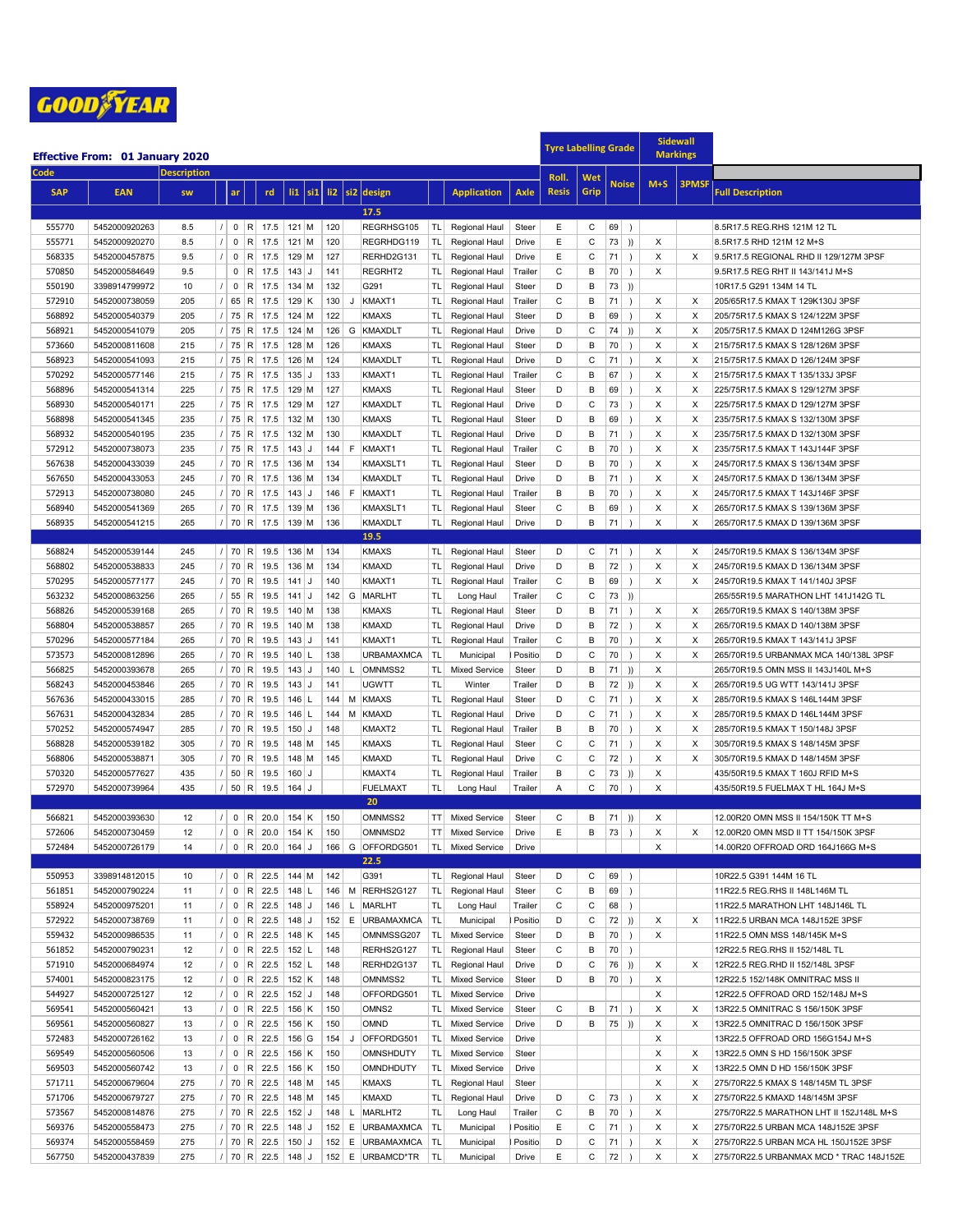

|                  | <b>Effective From: 01 January 2020</b> |                    |                |                |                              |                          |                    |                 |                    |                                |                        |                                       |                |              | <b>Tyre Labelling Grade</b> |                  |                        | <b>Sidewall</b><br><b>Markings</b> |              |                                                                      |
|------------------|----------------------------------------|--------------------|----------------|----------------|------------------------------|--------------------------|--------------------|-----------------|--------------------|--------------------------------|------------------------|---------------------------------------|----------------|--------------|-----------------------------|------------------|------------------------|------------------------------------|--------------|----------------------------------------------------------------------|
| Code             |                                        | <b>Description</b> |                |                |                              |                          |                    |                 |                    |                                |                        |                                       |                | Roll.        | Wet                         |                  |                        |                                    |              |                                                                      |
| <b>SAP</b>       | <b>EAN</b>                             | <b>SW</b>          |                | ar             |                              | rd                       | $\overline{11}$    | si <sub>1</sub> |                    | li2 si2 design                 |                        | <b>Application</b>                    | Axle           | <b>Resis</b> | Grip                        |                  | <b>Noise</b>           | $M+S$                              | <b>3PMSF</b> | Full Description                                                     |
|                  |                                        |                    |                |                |                              |                          |                    |                 |                    |                                |                        |                                       |                |              |                             |                  |                        |                                    |              |                                                                      |
|                  |                                        |                    |                |                |                              |                          |                    |                 |                    | 17.5                           |                        |                                       |                |              |                             |                  |                        |                                    |              |                                                                      |
| 555770           | 5452000920263                          | 8.5                |                |                | 0  R                         | 17.5                     | $121$ M            |                 | 120                | REGRHSG105                     | TL                     | Regional Haul                         | Steer          | Ε            | С                           | 69               | $\rightarrow$          |                                    |              | 8.5R17.5 REG.RHS 121M 12 TL                                          |
| 555771           | 5452000920270                          | 8.5                |                | $\mathbf 0$    | $\sf R$                      | 17.5                     | $121$ M            |                 | 120                | REGRHDG119                     | TL                     | Regional Haul                         | Drive          | E            | C                           | 73               | ))                     | X                                  |              | 8.5R17.5 RHD 121M 12 M+S                                             |
| 568335           | 5452000457875                          | 9.5                |                | $\mathbf 0$    | $\mathsf{R}$                 | 17.5                     | $129$ M            |                 | 127                | RERHD2G131                     | TL                     | Regional Haul                         | Drive          | Ε            | С                           | 71               | $\rightarrow$          | X                                  | X            | 9.5R17.5 REGIONAL RHD II 129/127M 3PSF                               |
| 570850           | 5452000584649                          | 9.5                |                | $\mathbf 0$    | R                            | 17.5                     | $143$ J            |                 | 141                | REGRHT2                        | TL                     | Regional Haul                         | Trailer        | C            | B                           | 70               | $\rightarrow$          | X                                  |              | 9.5R17.5 REG RHT II 143/141J M+S                                     |
| 550190           | 3398914799972                          | 10                 |                | $\mathbf{0}$   | R                            | 17.5                     | $134$ M            |                 | 132                | G291                           | TL.                    | Regional Haul                         | Steer          | D            | B                           | 73               | ))                     |                                    |              | 10R17.5 G291 134M 14 TL                                              |
| 572910           | 5452000738059                          | 205                |                |                | 65 R                         | 17.5                     | $129$ K            |                 | 130<br>J           | KMAXT1                         | TL.                    | Regional Haul                         | Trailer        | С            | B                           | 71               | $\lambda$              | Х                                  | X            | 205/65R17.5 KMAX T 129K130J 3PSF                                     |
| 568892           | 5452000540379                          | 205                | $\prime$       | 75             | $\mathsf{R}$                 | 17.5                     | 124 M              |                 | 122                | <b>KMAXS</b>                   | TL                     | Regional Haul                         | Steer          | D            | B                           | 69               | $\lambda$              | X                                  | X            | 205/75R17.5 KMAX S 124/122M 3PSF                                     |
| 568921           | 5452000541079                          | 205                | $\prime$       | 75             | $\mathsf{R}$                 | 17.5                     | $124$ M            |                 | G<br>126           | KMAXDLT                        | TL                     | Regional Haul                         | Drive          | D            | C                           | 74               | ))                     | X                                  | X            | 205/75R17.5 KMAX D 124M126G 3PSF                                     |
| 573660           | 5452000811608                          | 215                |                | 75             | $\mathsf{R}$                 | 17.5                     | $128$ M            |                 | 126                | <b>KMAXS</b>                   | TL                     | Regional Haul                         | Steer          | D            | B                           | 70               | $\lambda$              | X                                  | X            | 215/75R17.5 KMAX S 128/126M 3PSF                                     |
| 568923           | 5452000541093                          | 215                |                | 75             | R                            | 17.5                     | 126 M              |                 | 124                | <b>KMAXDLT</b>                 | TL                     | Regional Haul                         | Drive          | D            | C                           | 71               | $\lambda$              | X                                  | X            | 215/75R17.5 KMAX D 126/124M 3PSF                                     |
| 570292           | 5452000577146                          | 215                |                |                | 75 R                         | 17.5                     | $135$ J            |                 | 133                | KMAXT1                         | TL.                    | Regional Haul                         | Trailer        | C            | в                           | 67               | $\lambda$              | X                                  | X            | 215/75R17.5 KMAX T 135/133J 3PSF                                     |
| 568896           | 5452000541314                          | 225                |                |                | 75 R                         | 17.5                     | 129 M              |                 | 127                | <b>KMAXS</b>                   | TL                     | Regional Haul                         | Steer          | D            | B                           | 69               | $\rightarrow$          | X                                  | X            | 225/75R17.5 KMAX S 129/127M 3PSF                                     |
| 568930           | 5452000540171                          | 225                | $\prime$       |                | 75 R                         | 17.5                     | 129 M              |                 | 127                | <b>KMAXDLT</b>                 | TL                     | Regional Haul                         | Drive          | D<br>D       | C                           | 73               | $\lambda$              | X                                  | X            | 225/75R17.5 KMAX D 129/127M 3PSF                                     |
| 568898<br>568932 | 5452000541345<br>5452000540195         | 235<br>235         |                | 75<br>75       | $\mathsf{R}$<br>$\mathsf{R}$ | 17.5<br>17.5             | $132$ M<br>132 M   |                 | 130<br>130         | <b>KMAXS</b><br><b>KMAXDLT</b> | TL.                    | Regional Haul                         | Steer<br>Drive | D            | B<br>B                      | 69<br>71         | $\lambda$<br>$\lambda$ | X<br>$\mathsf X$                   | X<br>X       | 235/75R17.5 KMAX S 132/130M 3PSF                                     |
| 572912           | 5452000738073                          | 235                |                |                | 75 R                         | 17.5                     | $143$ J            |                 | 144<br>F           | KMAXT1                         | <b>TL</b><br><b>TL</b> | Regional Haul                         | Trailer        | C            | B                           | 70               | $\lambda$              | X                                  | X            | 235/75R17.5 KMAX D 132/130M 3PSF                                     |
| 567638           | 5452000433039                          | 245                |                |                | 70 R                         | 17.5                     | 136 M              |                 | 134                | KMAXSLT1                       | TL.                    | Regional Haul                         | Steer          | D            | B                           | 70               | $\lambda$              | X                                  | X            | 235/75R17.5 KMAX T 143J144F 3PSF<br>245/70R17.5 KMAX S 136/134M 3PSF |
| 567650           | 5452000433053                          | 245                |                |                | 70 R                         | 17.5                     | $136$ M            |                 | 134                | <b>KMAXDLT</b>                 | TL                     | Regional Haul<br>Regional Haul        | Drive          | D            | B                           | 71               | $\lambda$              | X                                  | X            | 245/70R17.5 KMAX D 136/134M 3PSF                                     |
| 572913           | 5452000738080                          | 245                | $\prime$       | 70             | $\mathsf{R}$                 | 17.5                     | $143$ J            |                 | $\mathsf F$<br>146 | KMAXT1                         | TL.                    | Regional Haul                         | Trailer        | В            | B                           | 70               | $\lambda$              | X                                  | X            | 245/70R17.5 KMAX T 143J146F 3PSF                                     |
| 568940           | 5452000541369                          | 265                | $\prime$       | 70             | $\mathsf{R}$                 | 17.5                     | $139$ M            |                 | 136                | KMAXSLT1                       | TL                     | Regional Haul                         | Steer          | C            | B                           | 69               | $\rightarrow$          | X                                  | X            | 265/70R17.5 KMAX S 139/136M 3PSF                                     |
| 568935           | 5452000541215                          | 265                |                |                |                              | $/$ 70 R 17.5            | 139 M              |                 | 136                | <b>KMAXDLT</b>                 | TL                     | Regional Haul                         | Drive          | D            | B                           | 71               | $\lambda$              | X                                  | $\times$     | 265/70R17.5 KMAX D 139/136M 3PSF                                     |
|                  |                                        |                    |                |                |                              |                          |                    |                 |                    | 19.5                           |                        |                                       |                |              |                             |                  |                        |                                    |              |                                                                      |
| 568824           | 5452000539144                          | 245                |                |                | 70 R                         | 19.5                     | 136 M              |                 | 134                | <b>KMAXS</b>                   | TLI                    | Regional Haul                         | Steer          | D            | С                           | 71               |                        | X                                  | X            | 245/70R19.5 KMAX S 136/134M 3PSF                                     |
| 568802           | 5452000538833                          | 245                |                |                | 70 R                         | 19.5                     | $136$ M            |                 | 134                | <b>KMAXD</b>                   | TLI                    | Regional Haul                         | Drive          | D            | B                           | 72               | $\rightarrow$          | X                                  | X            | 245/70R19.5 KMAX D 136/134M 3PSF                                     |
| 570295           | 5452000577177                          | 245                |                |                | 70 R                         | 19.5                     | $141$ J            |                 | 140                | KMAXT1                         | TLI                    | Regional Haul                         | Trailer        | С            | B                           | 69               | $\rightarrow$          | Х                                  | X            | 245/70R19.5 KMAX T 141/140J 3PSF                                     |
| 563232           | 5452000863256                          | 265                | $\overline{1}$ | 55             | R                            | 19.5                     | $141$ J            |                 | G<br>142           | MARLHT                         | TL                     | Long Haul                             | Trailer        | $\mathsf{C}$ | C                           | 73               | )                      |                                    |              | 265/55R19.5 MARATHON LHT 141J142G TL                                 |
| 568826           | 5452000539168                          | 265                |                |                | 70 R                         | 19.5                     | $140$ M            |                 | 138                | <b>KMAXS</b>                   | TL                     | Regional Haul                         | Steer          | D            | B                           | 71               | $\rightarrow$          | X                                  | X            | 265/70R19.5 KMAX S 140/138M 3PSF                                     |
| 568804           | 5452000538857                          | 265                |                |                | 70 R                         | 19.5                     | $140$ M            |                 | 138                | <b>KMAXD</b>                   | TL                     | Regional Haul                         | Drive          | D            | B                           | 72               | $\lambda$              | X                                  | X            | 265/70R19.5 KMAX D 140/138M 3PSF                                     |
| 570296           | 5452000577184                          | 265                |                |                | 70 R                         | 19.5                     | $143$ J            |                 | 141                | KMAXT1                         | TL                     | Regional Haul                         | Trailer        | C            | B                           | 70               | $\lambda$              | X                                  | X            | 265/70R19.5 KMAX T 143/141J 3PSF                                     |
| 573573           | 5452000812896                          | 265                |                |                | 70 R                         | 19.5                     | $140$ L            |                 | 138                | <b>URBAMAXMCA</b>              | <b>TL</b>              | Municipal                             | Positio        | D            | C                           | 70               | $\lambda$              | X                                  | X            | 265/70R19.5 URBANMAX MCA 140/138L 3PSF                               |
| 566825           | 5452000393678                          | 265                | $\prime$       |                | 70 R                         | 19.5                     | $143$ J            |                 | 140<br>L           | OMNMSS2                        | TL                     | <b>Mixed Service</b>                  | Steer          | D            | B                           | 71               | ))                     | X                                  |              | 265/70R19.5 OMN MSS II 143J140L M+S                                  |
| 568243           | 5452000453846                          | 265                |                |                | 70 R                         | 19.5                     | $143$ J            |                 | 141                | <b>UGWTT</b>                   | TL                     | Winter                                | Trailer        | D            | B                           | $72$ ))          |                        | X                                  | X            | 265/70R19.5 UG WTT 143/141J 3PSF                                     |
| 567636           | 5452000433015                          | 285                | $\prime$       | 70             | $\mathsf{R}$                 | 19.5                     | $146$ L            |                 | 144<br>M           | <b>KMAXS</b>                   | TL.                    | Regional Haul                         | Steer          | D            | C                           | 71               | $\lambda$              | X                                  | X            | 285/70R19.5 KMAX S 146L144M 3PSF                                     |
| 567631           | 5452000432834                          | 285                |                |                | 70 R                         | 19.5                     | $146$  L           |                 | 144<br>M           | <b>KMAXD</b>                   | <b>TL</b>              | Regional Haul                         | Drive          | D            | C                           | 71               | $\lambda$              | X                                  | X            | 285/70R19.5 KMAX D 146L144M 3PSF                                     |
| 570252           | 5452000574947                          | 285                |                |                | 70 R                         | 19.5                     | $150$ J            |                 | 148                | KMAXT2                         | <b>TL</b>              | Regional Haul                         | Trailer        | В            | B                           | 70               | $\lambda$              | X                                  | X            | 285/70R19.5 KMAX T 150/148J 3PSF                                     |
| 568828           | 5452000539182                          | 305                |                |                | 70 R                         | 19.5                     | 148 M              |                 | 145                | <b>KMAXS</b>                   | TL.                    | Regional Haul                         | Steer          | C            | C                           | 71               | $\rightarrow$          | X                                  | X            | 305/70R19.5 KMAX S 148/145M 3PSF                                     |
| 568806           | 5452000538871                          | 305                |                |                | 70 R                         | 19.5                     | $148$ M            |                 | 145                | <b>KMAXD</b>                   | TL.                    | Regional Haul                         | Drive          | С            | С                           | 72               | $\rightarrow$          | X                                  | X            | 305/70R19.5 KMAX D 148/145M 3PSF                                     |
| 570320           | 5452000577627                          | 435                | $\prime$       |                | 50 R                         | 19.5                     | $160$ J            |                 |                    | KMAXT4                         | TL.                    | Regional Haul                         | Trailer        | В            | C                           | 73               | ))                     | X                                  |              | 435/50R19.5 KMAX T 160J RFID M+S                                     |
| 572970           | 5452000739964                          | 435                |                |                |                              | $/$ 50 R 19.5 164 J      |                    |                 |                    | <b>FUELMAXT</b>                | TL.                    | Long Haul                             | Trailer        | Α            | C                           | 70               | $\rightarrow$          | X                                  |              | 435/50R19.5 FUELMAX T HL 164J M+S                                    |
|                  |                                        |                    |                |                |                              |                          |                    |                 |                    | 20                             |                        |                                       |                |              |                             |                  |                        |                                    |              |                                                                      |
| 566821           | 5452000393630                          | 12                 |                |                | 0  R                         | 20.0                     | $154$ K            |                 | 150                | OMNMSS2                        | TT                     | <b>Mixed Service</b>                  | Steer          | C            | В                           | 71)              |                        | X                                  |              | 12.00R20 OMN MSS II 154/150K TT M+S                                  |
| 572606           | 5452000730459                          | 12                 | $\overline{1}$ | $\mathbf{0}$   | R                            | 20.0                     | $154$ K            |                 | 150                | OMNMSD2                        | TT.                    | <b>Mixed Service</b>                  | Drive          | E            | B                           | 73               | $\lambda$              | X                                  | X            | 12.00R20 OMN MSD II TT 154/150K 3PSF                                 |
| 572484           | 5452000726179                          | 14                 |                |                |                              | 0   R   20.0   164   J   |                    |                 |                    | 166 G OFFORDG501               | TL                     | <b>Mixed Service</b>                  | Drive          |              |                             |                  |                        | X                                  |              | 14.00R20 OFFROAD ORD 164J166G M+S                                    |
|                  |                                        |                    |                |                |                              |                          |                    |                 |                    | 22.5                           |                        |                                       |                |              |                             |                  |                        |                                    |              |                                                                      |
| 550953           | 3398914812015                          | 10                 |                |                |                              | $0$   R   22.5   144   M |                    |                 | 142                | G391                           |                        | TL Regional Haul                      | Steer          | D            | С                           | $69$ )           |                        |                                    |              | 10R22.5 G391 144M 16 TL                                              |
| 561851           | 5452000790224                          | 11                 |                |                | 0  R                         | 22.5<br>0   R   22.5     | $148$ L            |                 |                    | 146 M RERHS2G127               | TL                     | Regional Haul                         | Steer          | C            | В                           | $69$ )           |                        |                                    |              | 11R22.5 REG.RHS II 148L146M TL                                       |
| 558924           | 5452000975201                          | 11                 |                |                |                              |                          | $148$ J            |                 | 146                | L   MARLHT                     | TL.                    | Long Haul                             | Trailer        | С            | С                           | $68$ )           |                        |                                    |              | 11R22.5 MARATHON LHT 148J146L TL                                     |
| 572922           | 5452000738769                          | 11                 |                |                | 0  R                         | 22.5                     | $148$ J            |                 | 152                | E URBAMAXMCA                   | TL.                    | Municipal                             | Positio        | D            | С                           | $72$ ))          |                        | X                                  | X            | 11R22.5 URBAN MCA 148J152E 3PSF                                      |
| 559432<br>561852 | 5452000986535                          | 11<br>12           | $\prime$       |                | 0  R <br>0  R                | 22.5<br>22.5             | $148$ K<br>$152$ L |                 | 145<br>148         | OMNMSSG207<br>RERHS2G127       | TL                     | <b>Mixed Service</b>                  | Steer<br>Steer | D<br>С       | B<br>B                      | $70$ )<br>$70$ ) |                        | X                                  |              | 11R22.5 OMN MSS 148/145K M+S<br>12R22.5 REG.RHS II 152/148L TL       |
| 571910           | 5452000790231                          | 12                 |                | 0              | R                            | 22.5                     | $152$ L            |                 | 148                | RERHD2G137                     | TL                     | Regional Haul                         | Drive          | D            | С                           | $76$ ))          |                        | X                                  | X            | 12R22.5 REG.RHD II 152/148L 3PSF                                     |
| 574001           | 5452000684974<br>5452000823175         | 12                 |                | $\mathbf{0}$   | $\mathsf{R}$                 | 22.5                     | $152$ K            |                 | 148                | OMNMSS2                        | TL  <br>TL             | Regional Haul<br><b>Mixed Service</b> | Steer          | D            | B                           | 70               | $\rightarrow$          | X                                  |              | 12R22.5 152/148K OMNITRAC MSS II                                     |
| 544927           | 5452000725127                          | 12                 |                |                | 0  R                         | 22.5                     | $152$ J            |                 | 148                | OFFORDG501                     | TL                     | <b>Mixed Service</b>                  | Drive          |              |                             |                  |                        | X                                  |              | 12R22.5 OFFROAD ORD 152/148J M+S                                     |
| 569541           | 5452000560421                          | 13                 |                |                | 0  R                         | 22.5                     | $156$ K            |                 | 150                | OMNS <sub>2</sub>              | TLI                    | <b>Mixed Service</b>                  | Steer          | С            | в                           | $71$ )           |                        | Х                                  | X            | 13R22.5 OMNITRAC S 156/150K 3PSF                                     |
| 569561           | 5452000560827                          | 13                 |                |                | 0  R                         | 22.5                     | $156$ K            |                 | 150                | <b>OMND</b>                    | TL                     | <b>Mixed Service</b>                  | Drive          | D            | В                           | $75$ ))          |                        | X                                  | X            | 13R22.5 OMNITRAC D 156/150K 3PSF                                     |
| 572483           | 5452000726162                          | 13                 |                |                |                              | 0   R   22.5             | $156$ G            |                 | 154<br>J           | OFFORDG501                     | TL                     | <b>Mixed Service</b>                  | Drive          |              |                             |                  |                        | Х                                  |              | 13R22.5 OFFROAD ORD 156G154J M+S                                     |
| 569549           | 5452000560506                          | 13                 | $\prime$       | 0 <sup>1</sup> | R                            | 22.5                     | 156 K              |                 | 150                | <b>OMNSHDUTY</b>               | TLI                    | <b>Mixed Service</b>                  | Steer          |              |                             |                  |                        | X                                  | X            | 13R22.5 OMN S HD 156/150K 3PSF                                       |
| 569503           | 5452000560742                          | 13                 |                |                | 0  R                         | 22.5                     | $156$ K            |                 | 150                | <b>OMNDHDUTY</b>               | TLI                    | <b>Mixed Service</b>                  | Drive          |              |                             |                  |                        | X                                  | X            | 13R22.5 OMN D HD 156/150K 3PSF                                       |
| 571711           | 5452000679604                          | 275                |                |                | 70  R                        | 22.5                     | $148$ M            |                 | 145                | <b>KMAXS</b>                   | TL                     | Regional Haul                         | Steer          |              |                             |                  |                        | X                                  | X            | 275/70R22.5 KMAX S 148/145M TL 3PSF                                  |
| 571706           | 5452000679727                          | 275                |                |                | 70  R                        | 22.5                     | $148$ M            |                 | 145                | <b>KMAXD</b>                   | TL                     | Regional Haul                         | Drive          | D            | С                           | $73$ )           |                        | X                                  | X            | 275/70R22.5 KMAXD 148/145M 3PSF                                      |
| 573567           | 5452000814876                          | 275                |                |                |                              | 70 R 22.5                | $152$ J            |                 | 148<br>L.          | MARLHT2                        | TL                     | Long Haul                             | Trailer        | С            | в                           | $70$ )           |                        | X                                  |              | 275/70R22.5 MARATHON LHT II 152J148L M+S                             |
| 569376           | 5452000558473                          | 275                | $\prime$       |                |                              | 70 R 22.5                | $148$ J            |                 | 152                | E URBAMAXMCA                   | TL.                    | Municipal                             | Positio        | Ε            | С                           | 71)              |                        | X                                  | Х            | 275/70R22.5 URBAN MCA 148J152E 3PSF                                  |
| 569374           | 5452000558459                          | 275                |                |                |                              | 70 R 22.5                | $150$ J            |                 | 152                | E URBAMAXMCA                   | TL                     | Municipal                             | Positio        | D            | С                           | 71)              |                        | X                                  | X            | 275/70R22.5 URBAN MCA HL 150J152E 3PSF                               |
| 567750           | 5452000437839                          | 275                |                |                |                              | $1$   70   R   22.5      | $148$ J            |                 | 152                | E URBAMCD*TR                   | <b>TL</b>              | Municipal                             | Drive          | Ε            | С                           | $72$ )           |                        | X                                  | Х            | 275/70R22.5 URBANMAX MCD * TRAC 148J152E                             |
|                  |                                        |                    |                |                |                              |                          |                    |                 |                    |                                |                        |                                       |                |              |                             |                  |                        |                                    |              |                                                                      |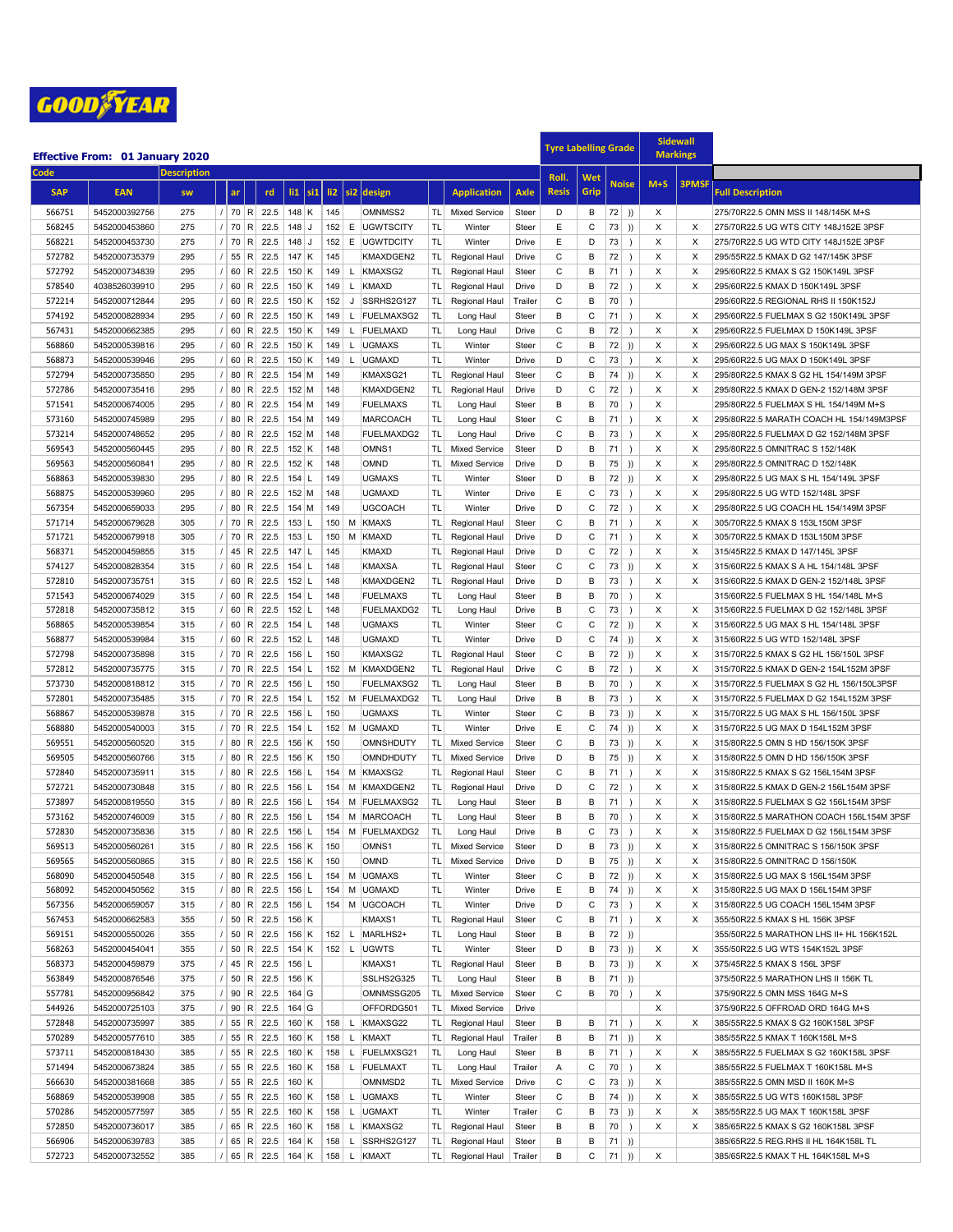

|                  | <b>Effective From: 01 January 2020</b> |                    |          |    |                  |                   |                              |  |                  |                 |                           |                        |                                   | <b>Tyre Labelling Grade</b> |              |              |                   |               | <b>Sidewall</b><br><b>Markings</b> |              |                                                                           |
|------------------|----------------------------------------|--------------------|----------|----|------------------|-------------------|------------------------------|--|------------------|-----------------|---------------------------|------------------------|-----------------------------------|-----------------------------|--------------|--------------|-------------------|---------------|------------------------------------|--------------|---------------------------------------------------------------------------|
| Code             |                                        | <b>Description</b> |          |    |                  |                   |                              |  |                  |                 |                           |                        |                                   |                             |              |              |                   |               |                                    |              |                                                                           |
|                  |                                        |                    |          |    |                  |                   |                              |  |                  |                 |                           |                        |                                   |                             | Roll.        | Wet          | <b>Noise</b>      |               | $M+S$                              | <b>3PMSF</b> |                                                                           |
| <b>SAP</b>       | <b>EAN</b>                             | <b>SW</b>          |          | ar |                  | rd                | $\vert$ si1<br>$\mathbf{ii}$ |  | $\overline{112}$ | s <sub>i2</sub> | design                    |                        | <b>Application</b>                | Axle                        | <b>Resis</b> | Grip         |                   |               |                                    |              | <b>Full Description</b>                                                   |
| 566751           | 5452000392756                          | 275                | $\prime$ |    | 70 R             | 22.5              | 148 K                        |  | 145              |                 | OMNMSS2                   | TL.                    | <b>Mixed Service</b>              | Steer                       | D            | В            | $72$ ))           |               | X                                  |              | 275/70R22.5 OMN MSS II 148/145K M+S                                       |
| 568245           | 5452000453860                          | 275                |          | 70 | R                | 22.5              | 148<br>IJ                    |  | 152              | E               | <b>UGWTSCITY</b>          | <b>TL</b>              | Winter                            | Steer                       | E            | C            | 73                | ))            | X                                  | X            | 275/70R22.5 UG WTS CITY 148J152E 3PSF                                     |
| 568221           | 5452000453730                          | 275                |          | 70 | R                | 22.5              | $148$ J                      |  | 152              |                 | E UGWTDCITY               | <b>TL</b>              | Winter                            | Drive                       | E            | D            | 73                | -1            | X                                  | X            | 275/70R22.5 UG WTD CITY 148J152E 3PSF                                     |
| 572782           | 5452000735379                          | 295                |          | 55 | R                | 22.5              | $147$ K                      |  | 145              |                 | KMAXDGEN2                 | TL.                    | Regional Haul                     | Drive                       | C            | В            | 72                | -1            | X                                  | X            | 295/55R22.5 KMAX D G2 147/145K 3PSF                                       |
| 572792           | 5452000734839                          | 295                |          | 60 | R                | 22.5              | $150$ K                      |  | 149              |                 | L KMAXSG2                 | TL.                    | Regional Haul                     | Steer                       | C            | В            | 71                |               | X                                  | X            | 295/60R22.5 KMAX S G2 150K149L 3PSF                                       |
| 578540           | 4038526039910                          | 295                |          | 60 | R                | 22.5              | $150$ K                      |  | 149              | L               | KMAXD                     | TL.                    | Regional Haul                     | Drive                       | D            | В            | 72                | $\rightarrow$ | X                                  | X            | 295/60R22.5 KMAX D 150K149L 3PSF                                          |
| 572214           | 5452000712844                          | 295                |          | 60 | R                | 22.5              | $150$ K                      |  | 152              | J               | SSRHS2G127                | TL.                    | Regional Haul                     | Trailer                     | C            | B            | 70                | $\lambda$     |                                    |              | 295/60R22.5 REGIONAL RHS II 150K152J                                      |
| 574192           | 5452000828934                          | 295                |          | 60 | R                | 22.5              | 150 K                        |  | 149              |                 | L   FUELMAXSG2            | <b>TL</b>              | Long Haul                         | Steer                       | B            | C            | 71                | $\lambda$     | X                                  | Х            | 295/60R22.5 FUELMAX S G2 150K149L 3PSF                                    |
| 567431           | 5452000662385                          | 295                |          | 60 | R                | 22.5              | $150$ K                      |  | 149              | L               | FUELMAXD                  | <b>TL</b>              | Long Haul                         | Drive                       | C            | B            | 72                | $\lambda$     | X                                  | X            | 295/60R22.5 FUELMAX D 150K149L 3PSF                                       |
| 568860           | 5452000539816                          | 295                |          | 60 | R                | 22.5              | $150$ K                      |  | 149              | L.              | <b>UGMAXS</b>             | <b>TL</b>              | Winter                            | Steer                       | C            | В            | 72                | ))            | X                                  | X            | 295/60R22.5 UG MAX S 150K149L 3PSF                                        |
| 568873           | 5452000539946                          | 295                |          | 60 | R                | 22.5              | $150$ K                      |  | 149              | L               | <b>UGMAXD</b>             | <b>TL</b>              | Winter                            | Drive                       | D            | С            | 73                | $\rightarrow$ | X                                  | X            | 295/60R22.5 UG MAX D 150K149L 3PSF                                        |
| 572794           | 5452000735850                          | 295                |          | 80 | R                | 22.5              | 154 M                        |  | 149              |                 | KMAXSG21                  | TL                     | Regional Haul                     | Steer                       | C            | B            | 74                | ))            | X                                  | X            | 295/80R22.5 KMAX S G2 HL 154/149M 3PSF                                    |
| 572786           | 5452000735416                          | 295                |          | 80 | R                | 22.5              | $152$ M                      |  | 148              |                 | KMAXDGEN2                 | TL.                    | Regional Haul                     | Drive                       | D            | C            | 72                | $\lambda$     | X                                  | X            | 295/80R22.5 KMAX D GEN-2 152/148M 3PSF                                    |
| 571541           | 5452000674005                          | 295                |          | 80 | R                | 22.5              | 154 M                        |  | 149              |                 | <b>FUELMAXS</b>           | <b>TL</b>              | Long Haul                         | Steer                       | B            | B            | 70                | $\lambda$     | X                                  |              | 295/80R22.5 FUELMAX S HL 154/149M M+S                                     |
| 573160           | 5452000745989                          | 295                |          | 80 | R                | 22.5              | 154 M                        |  | 149              |                 | <b>MARCOACH</b>           | <b>TL</b>              | Long Haul                         | Steer                       | C            | B            | 71                | $\lambda$     | X                                  | X            | 295/80R22.5 MARATH COACH HL 154/149M3PSF                                  |
| 573214           | 5452000748652                          | 295                |          | 80 | R                | 22.5              | $152$ M                      |  | 148              |                 | FUELMAXDG2                | <b>TL</b>              | Long Haul                         | Drive                       | C            | В            | 73                | -1            | X                                  | X            | 295/80R22.5 FUELMAX D G2 152/148M 3PSF                                    |
| 569543           | 5452000560445                          | 295                |          | 80 | R                | 22.5              | $152$ K                      |  | 148              |                 | OMNS1                     | <b>TL</b>              | <b>Mixed Service</b>              | Steer                       | D            | В            | 71                |               | X                                  | X            | 295/80R22.5 OMNITRAC S 152/148K                                           |
| 569563           | 5452000560841                          | 295                |          | 80 | R                | 22.5              | $152$ K                      |  | 148              |                 | <b>OMND</b>               | TL.                    | <b>Mixed Service</b>              | <b>Drive</b>                | D            | B            | 75                | ))            | X                                  | X            | 295/80R22.5 OMNITRAC D 152/148K                                           |
| 568863           | 5452000539830                          | 295                |          | 80 | R                | 22.5              | $154$  L                     |  | 149              |                 | <b>UGMAXS</b>             | <b>TL</b>              | Winter                            | Steer                       | D            | B            | 72                | ))            | X                                  | X            | 295/80R22.5 UG MAX S HL 154/149L 3PSF                                     |
| 568875           | 5452000539960                          | 295                |          | 80 | R                | 22.5              | $152$ M                      |  | 148              |                 | <b>UGMAXD</b>             | <b>TL</b>              | Winter                            | Drive                       | E            | $\mathsf C$  | 73                | $\rightarrow$ | X                                  | X            | 295/80R22.5 UG WTD 152/148L 3PSF                                          |
| 567354           | 5452000659033                          | 295                |          | 80 | R                | 22.5              | $154$ M                      |  | 149              |                 | <b>UGCOACH</b>            | <b>TL</b>              | Winter                            | <b>Drive</b>                | D            | $\mathsf{C}$ | 72                |               | X                                  | X            | 295/80R22.5 UG COACH HL 154/149M 3PSF                                     |
| 571714           | 5452000679628                          | 305                |          | 70 | R                | 22.5              | $153$ L                      |  | 150              |                 | M KMAXS                   | TL.                    | Regional Haul                     | Steer                       | C            | В            | 71                | ◝             | X                                  | X            | 305/70R22.5 KMAX S 153L150M 3PSF                                          |
| 571721           | 5452000679918                          | 305                |          | 70 | R                | 22.5              | $153$  L                     |  | 150              | м               | KMAXD                     | <b>TL</b>              | Regional Haul                     | Drive                       | D            | C            | 71                | $\lambda$     | X                                  | X            | 305/70R22.5 KMAX D 153L150M 3PSF                                          |
| 568371           | 5452000459855                          | 315                |          | 45 | R                | 22.5              | $147$   L                    |  | 145              |                 | <b>KMAXD</b>              | TL.                    | Regional Haul                     | Drive                       | D            | С            | 72                | $\lambda$     | X                                  | X            | 315/45R22.5 KMAX D 147/145L 3PSF                                          |
| 574127           | 5452000828354                          | 315                |          | 60 | R                | 22.5              | $154$ L                      |  | 148              |                 | <b>KMAXSA</b>             | TL.                    | Regional Haul                     | Steer                       | $\mathsf{C}$ | $\mathsf C$  | 73                | ))            | X                                  | X            | 315/60R22.5 KMAX S A HL 154/148L 3PSF                                     |
| 572810           | 5452000735751                          | 315                |          | 60 | R                | 22.5              | $152$  L                     |  | 148              |                 | KMAXDGEN2                 | TL                     | Regional Haul                     | Drive                       | D            | В            | 73                | $\lambda$     | X                                  | Х            | 315/60R22.5 KMAX D GEN-2 152/148L 3PSF                                    |
| 571543           | 5452000674029                          | 315                |          | 60 | R                | 22.5              | 154                          |  | 148              |                 | <b>FUELMAXS</b>           | <b>TL</b>              | Long Haul                         | Steer                       | B            | B            | 70                | $\lambda$     | X                                  |              | 315/60R22.5 FUELMAX S HL 154/148L M+S                                     |
| 572818           | 5452000735812                          | 315                |          | 60 | R                | 22.5              | $152$  L                     |  | 148              |                 | FUELMAXDG2                | <b>TL</b>              | Long Haul                         | Drive                       | B            | С            | 73                | $\rightarrow$ | X                                  | X            | 315/60R22.5 FUELMAX D G2 152/148L 3PSF                                    |
| 568865           | 5452000539854                          | 315                |          | 60 | R                | 22.5              | $154$ L                      |  | 148              |                 | <b>UGMAXS</b>             | <b>TL</b>              | Winter                            | Steer                       | C            | C            | 72                | ))            | X                                  | X            | 315/60R22.5 UG MAX S HL 154/148L 3PSF                                     |
| 568877           | 5452000539984                          | 315                |          | 60 | R                | 22.5              | $152$  L                     |  | 148              |                 | <b>UGMAXD</b>             | <b>TL</b>              | Winter                            | Drive                       | D            | C            | 74                | ))            | X                                  | X            | 315/60R22.5 UG WTD 152/148L 3PSF                                          |
| 572798           | 5452000735898                          | 315                |          | 70 | R                | 22.5              | $156$  L                     |  | 150              |                 | KMAXSG2                   | TL.                    | Regional Haul                     | Steer                       | C            | В            | 72                | ))            | X                                  | X            | 315/70R22.5 KMAX S G2 HL 156/150L 3PSF                                    |
| 572812           | 5452000735775                          | 315                |          | 70 | R                | 22.5              | $154$  L                     |  | 152              | м               | KMAXDGEN2                 | TL                     | Regional Haul                     | Drive                       | C            | В            | 72                | $\rightarrow$ | X                                  | X            | 315/70R22.5 KMAX D GEN-2 154L152M 3PSF                                    |
| 573730           | 5452000818812                          | 315                |          | 70 | R                | 22.5              | $156$  L                     |  | 150              |                 | FUELMAXSG2                | <b>TL</b>              | Long Haul                         | Steer                       | B            | B            | 70                | $\lambda$     | X                                  | X            | 315/70R22.5 FUELMAX S G2 HL 156/150L3PSF                                  |
| 572801           | 5452000735485                          | 315                | $\prime$ | 70 | R                | 22.5              | $154$  L                     |  | 152              |                 | M FUELMAXDG2              | <b>TL</b>              | Long Haul                         | Drive                       | B            | B            | 73                | $\rightarrow$ | X                                  | X            | 315/70R22.5 FUELMAX D G2 154L152M 3PSF                                    |
| 568867           | 5452000539878                          | 315                |          | 70 | $\mathsf{R}$     | 22.5              | $156$  L                     |  | 150              |                 | <b>UGMAXS</b>             | TL                     | Winter                            | Steer                       | C            | В            | 73                | ))            | X                                  | X            | 315/70R22.5 UG MAX S HL 156/150L 3PSF                                     |
| 568880           | 5452000540003                          | 315                |          | 70 | R                | 22.5              | $154$  L                     |  | 152              |                 | M UGMAXD                  | <b>TL</b>              | Winter                            | Drive                       | E            | $\mathsf{C}$ | 74                | ))            | X                                  | X            | 315/70R22.5 UG MAX D 154L152M 3PSF                                        |
| 569551           | 5452000560520                          | 315                |          | 80 | R                | 22.5              | $156$ K                      |  | 150              |                 | OMNSHDUTY                 | TL.                    | <b>Mixed Service</b>              | Steer                       | C            | В            | 73                | ))            | X                                  | X            | 315/80R22.5 OMN S HD 156/150K 3PSF                                        |
| 569505           | 5452000560766                          | 315                |          | 80 | R                | 22.5              | 156 K                        |  | 150              |                 | OMNDHDUTY                 | TL.                    | <b>Mixed Service</b>              | <b>Drive</b>                | D            | B            | 75                | ))            | X                                  | X            | 315/80R22.5 OMN D HD 156/150K 3PSF                                        |
| 572840           | 5452000735911                          | 315                |          | 80 | R                | 22.5              | $156$  L                     |  | 154              |                 | M KMAXSG2                 | TL.                    | Regional Haul                     | Steer                       | C            | B            | 71                | $\lambda$     | X                                  | X            | 315/80R22.5 KMAX S G2 156L154M 3PSF                                       |
| 572721           | 5452000730848                          | 315                |          | 80 | R                | 22.5              | 156 L                        |  | 154              |                 | M KMAXDGEN2               | TL.                    | Regional Haul                     | Drive                       | D            | С            | 72                | $\lambda$     | X                                  | X            | 315/80R22.5 KMAX D GEN-2 156L154M 3PSF                                    |
| 573897           | 5452000819550                          | 315                |          | 80 | R                | 22.5              | 156                          |  | 154              |                 | M FUELMAXSG2              | <b>TL</b>              | Long Haul                         | Steer                       | B            | B            | 71                | $\lambda$     | X<br>X                             | X            | 315/80R22.5 FUELMAX S G2 156L154M 3PSF                                    |
| 573162           | 5452000746009                          | 315                |          | 80 | R                | 22.5              | 156                          |  | 154              |                 | M MARCOACH                | <b>TL</b>              | Long Haul                         | Steer                       | B            | В            | 70                |               |                                    | X            | 315/80R22.5 MARATHON COACH 156L154M 3PSF                                  |
| 572830           | 5452000735836                          | 315                |          |    |                  |                   | 80  R  22.5  156 L           |  |                  |                 | 154   M   FUELMAXDG2      | TL.                    | Long Haul                         | Drive                       | в            | С            | $73$ )            |               | Х                                  | X            | 315/80R22.5 FUELMAX D G2 156L154M 3PSF                                    |
| 569513           | 5452000560261                          | 315<br>315         |          |    |                  | 80 R 22.5<br>22.5 | 156 K                        |  | 150<br>150       |                 | OMNS1                     | TL I                   | <b>Mixed Service</b>              | Steer<br>Drive              | D<br>D       | В            | $73$ ))           |               | X                                  | Х            | 315/80R22.5 OMNITRAC S 156/150K 3PSF<br>315/80R22.5 OMNITRAC D 156/150K   |
| 569565           | 5452000560865                          |                    | $\prime$ |    | 80  R            |                   | $156$ K                      |  |                  |                 | OMND                      | TL I                   | <b>Mixed Service</b>              |                             |              | В            | $75$ ))           |               | X                                  | X            |                                                                           |
| 568090           | 5452000450548                          | 315                |          |    | 80   R           | 22.5              | $156$ L                      |  | 154              |                 | M UGMAXS                  | <b>TL</b><br><b>TL</b> | Winter                            | Steer                       | С<br>E       | В            | $72$ ))           |               | Х                                  | X            | 315/80R22.5 UG MAX S 156L154M 3PSF                                        |
| 568092<br>567356 | 5452000450562<br>5452000659057         | 315<br>315         |          |    | 80   R<br>80   R | 22.5<br>22.5      | $156$ L                      |  | 154              |                 | M UGMAXD<br>154 M UGCOACH | <b>TL</b>              | Winter<br>Winter                  | Drive                       | D            | В<br>С       | $74$ ))           |               | X<br>X                             | X<br>х       | 315/80R22.5 UG MAX D 156L154M 3PSF                                        |
| 567453           | 5452000662583                          | 355                |          |    | 50 R             | 22.5              | $156$ L<br>156 K             |  |                  |                 | KMAXS1                    | TL                     | Regional Haul                     | Drive<br>Steer              | C            | В            | $73$ )<br>71)     |               | X                                  | х            | 315/80R22.5 UG COACH 156L154M 3PSF<br>355/50R22.5 KMAX S HL 156K 3PSF     |
| 569151           | 5452000550026                          | 355                |          |    |                  | 22.5              | $156$ K                      |  | 152              |                 | L MARLHS2+                | <b>TL</b>              |                                   | Steer                       | в            | В            |                   |               |                                    |              | 355/50R22.5 MARATHON LHS II+ HL 156K152L                                  |
| 568263           | 5452000454041                          | 355                |          |    | 50   R<br>50   R | 22.5              | $154$ K                      |  |                  |                 | 152 L UGWTS               | <b>TL</b>              | Long Haul<br>Winter               | Steer                       | D            | В            | $72$ )<br>$73$ )) |               | X                                  | Х            | 355/50R22.5 UG WTS 154K152L 3PSF                                          |
| 568373           | 5452000459879                          | 375                |          |    | 45 R             | 22.5              | $156$  L                     |  |                  |                 | KMAXS1                    | TL I                   | Regional Haul                     | Steer                       | B            | В            | $73$ ))           |               | X                                  | X            | 375/45R22.5 KMAX S 156L 3PSF                                              |
| 563849           | 5452000876546                          | 375                |          |    | 50   R           | 22.5              | 156 K                        |  |                  |                 | SSLHS2G325                | TL.                    | Long Haul                         | Steer                       | B            | В            | $71$ )            |               |                                    |              |                                                                           |
| 557781           | 5452000956842                          | 375                |          |    | 90   R           | 22.5              | $164$ G                      |  |                  |                 | OMNMSSG205                | TL                     | <b>Mixed Service</b>              | Steer                       | С            | В            | $70$ )            |               | X                                  |              | 375/50R22.5 MARATHON LHS II 156K TL<br>375/90R22.5 OMN MSS 164G M+S       |
| 544926           | 5452000725103                          | 375                |          |    | 90 R             | 22.5              | $164$ G                      |  |                  |                 | OFFORDG501                | TL.                    | <b>Mixed Service</b>              | Drive                       |              |              |                   |               | X                                  |              | 375/90R22.5 OFFROAD ORD 164G M+S                                          |
| 572848           | 5452000735997                          | 385                |          |    | 55 R             | 22.5              | 160 K                        |  | 158              |                 | L KMAXSG22                | TL I                   | Regional Haul                     | Steer                       | в            | В            | 71)               |               | X                                  | х            | 385/55R22.5 KMAX S G2 160K158L 3PSF                                       |
| 570289           | 5452000577610                          | 385                |          |    | 55 R             | 22.5              | $160$ K                      |  | 158              |                 | L KMAXT                   | TL                     | Regional Haul                     | Trailer                     | B            | В            |                   |               | X                                  |              | 385/55R22.5 KMAX T 160K158L M+S                                           |
| 573711           | 5452000818430                          | 385                | $\prime$ |    | 55 R             | 22.5              | $160$ K                      |  | 158              |                 | L FUELMXSG21              | TL                     |                                   | Steer                       | B            | В            | 71)<br>71)        |               | Х                                  | X            | 385/55R22.5 FUELMAX S G2 160K158L 3PSF                                    |
| 571494           | 5452000673824                          | 385                |          |    | 55 R             | 22.5              | $160$ K                      |  | 158              |                 | L FUELMAXT                | TL                     | Long Haul                         | Trailer                     | Α            | С            | $70$ )            |               | Х                                  |              | 385/55R22.5 FUELMAX T 160K158L M+S                                        |
| 566630           | 5452000381668                          | 385                |          |    | 55 R             | 22.5              | $160$ K                      |  |                  |                 | OMNMSD2                   | TL                     | Long Haul<br><b>Mixed Service</b> | Drive                       | C            | С            | $73$ ))           |               | X                                  |              | 385/55R22.5 OMN MSD II 160K M+S                                           |
| 568869           |                                        | 385                |          |    |                  |                   |                              |  |                  |                 |                           | <b>TL</b>              | Winter                            |                             | С            |              |                   |               | $\times$                           |              |                                                                           |
|                  | 5452000539908                          |                    |          |    | 55 R             | 22.5              | $160$ K                      |  | 158              |                 | L UGMAXS<br>L UGMAXT      | TL.                    |                                   | Steer                       |              | В            | $74$ ))           |               |                                    | X            | 385/55R22.5 UG WTS 160K158L 3PSF                                          |
| 570286<br>572850 | 5452000577597<br>5452000736017         | 385<br>385         |          |    | 55 R<br>65   R   | 22.5<br>22.5      | $160$ K<br>$160$ K           |  | 158<br>158       |                 | L KMAXSG2                 | TL                     | Winter<br>Regional Haul           | Trailer<br>Steer            | С<br>в       | в<br>В       | $73$ ))<br>$70$ ) |               | X<br>X                             | х<br>X       | 385/55R22.5 UG MAX T 160K158L 3PSF<br>385/65R22.5 KMAX S G2 160K158L 3PSF |
| 566906           | 5452000639783                          | 385                |          |    | 65   R           | 22.5              | $164$ K                      |  | 158              |                 | L SSRHS2G127              | TL I                   | Regional Haul                     | Steer                       | в            | в            | $71$ ))           |               |                                    |              | 385/65R22.5 REG.RHS II HL 164K158L TL                                     |
| 572723           | 5452000732552                          | 385                |          |    | 65 R             | 22.5              | $164$ K                      |  |                  |                 | 158 L KMAXT               | TL                     | Regional Haul                     | Trailer                     | B            | С            | $71$ ))           |               | Х                                  |              | 385/65R22.5 KMAX T HL 164K158L M+S                                        |
|                  |                                        |                    |          |    |                  |                   |                              |  |                  |                 |                           |                        |                                   |                             |              |              |                   |               |                                    |              |                                                                           |